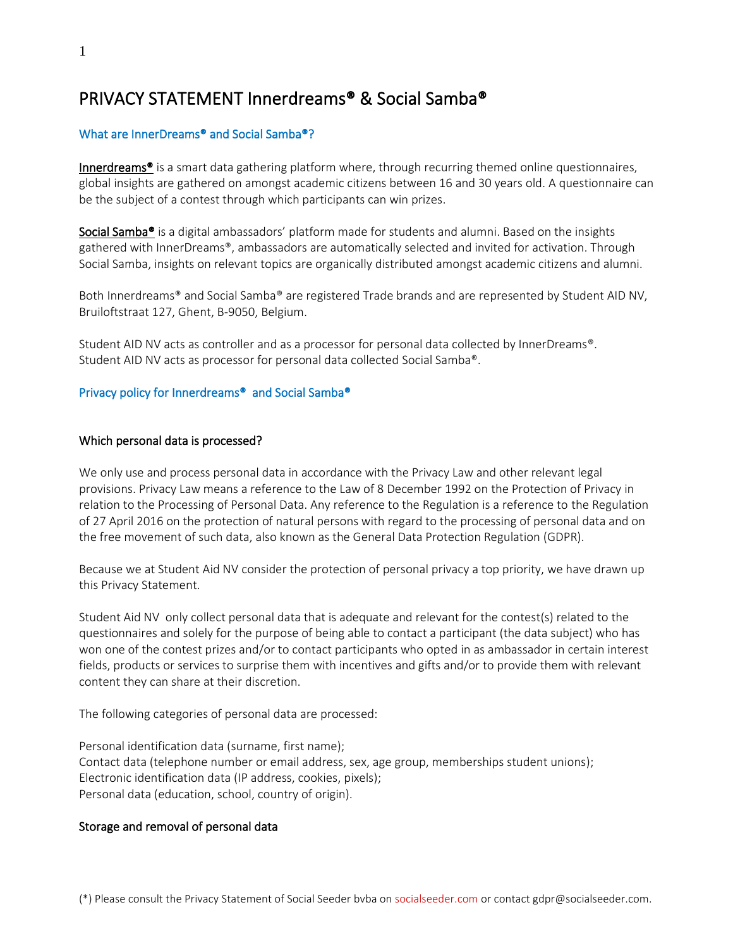# PRIVACY STATEMENT Innerdreams® & Social Samba®

# What are InnerDreams® and Social Samba®?

Innerdreams® is a smart data gathering platform where, through recurring themed online questionnaires, global insights are gathered on amongst academic citizens between 16 and 30 years old. A questionnaire can be the subject of a contest through which participants can win prizes.

Social Samba<sup>®</sup> is a digital ambassadors' platform made for students and alumni. Based on the insights gathered with InnerDreams®, ambassadors are automatically selected and invited for activation. Through Social Samba, insights on relevant topics are organically distributed amongst academic citizens and alumni.

Both Innerdreams® and Social Samba® are registered Trade brands and are represented by Student AID NV, Bruiloftstraat 127, Ghent, B-9050, Belgium.

Student AID NV acts as controller and as a processor for personal data collected by InnerDreams®. Student AID NV acts as processor for personal data collected Social Samba®.

## Privacy policy for Innerdreams® and Social Samba®

## Which personal data is processed?

We only use and process personal data in accordance with the Privacy Law and other relevant legal provisions. Privacy Law means a reference to the Law of 8 December 1992 on the Protection of Privacy in relation to the Processing of Personal Data. Any reference to the Regulation is a reference to the Regulation of 27 April 2016 on the protection of natural persons with regard to the processing of personal data and on the free movement of such data, also known as the General Data Protection Regulation (GDPR).

Because we at Student Aid NV consider the protection of personal privacy a top priority, we have drawn up this Privacy Statement.

Student Aid NV only collect personal data that is adequate and relevant for the contest(s) related to the questionnaires and solely for the purpose of being able to contact a participant (the data subject) who has won one of the contest prizes and/or to contact participants who opted in as ambassador in certain interest fields, products or services to surprise them with incentives and gifts and/or to provide them with relevant content they can share at their discretion.

The following categories of personal data are processed:

Personal identification data (surname, first name); Contact data (telephone number or email address, sex, age group, memberships student unions); Electronic identification data (IP address, cookies, pixels); Personal data (education, school, country of origin).

# Storage and removal of personal data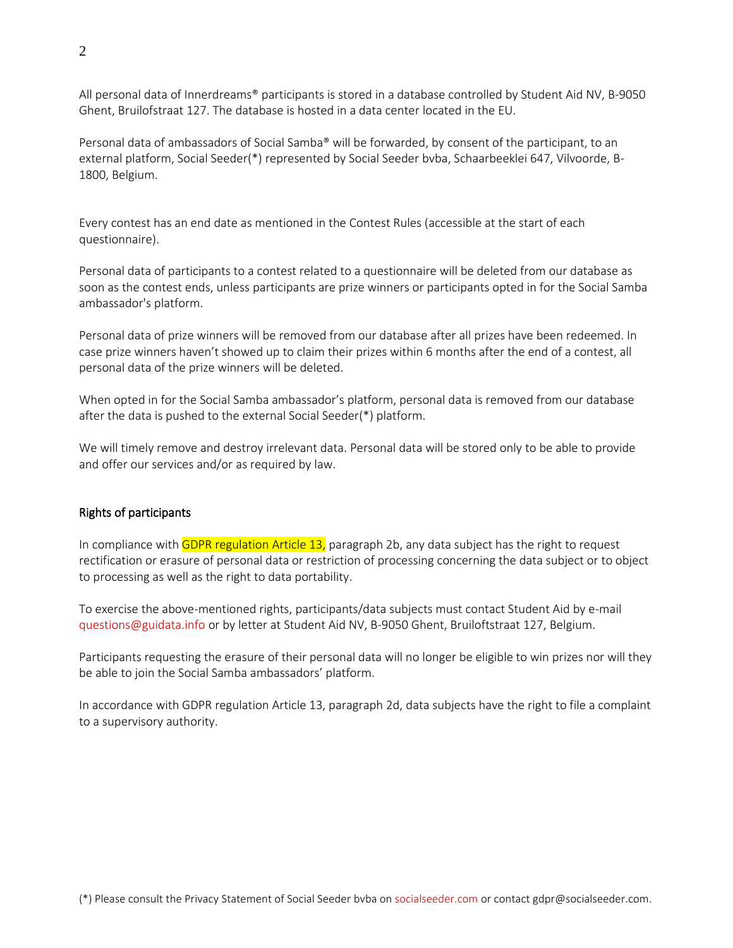All personal data of Innerdreams® participants is stored in a database controlled by Student Aid NV, B-9050 Ghent, Bruilofstraat 127. The database is hosted in a data center located in the EU.

Personal data of ambassadors of Social Samba® will be forwarded, by consent of the participant, to an external platform, Social Seeder(\*) represented by Social Seeder bvba, Schaarbeeklei 647, Vilvoorde, B-1800, Belgium.

Every contest has an end date as mentioned in the Contest Rules (accessible at the start of each questionnaire).

Personal data of participants to a contest related to a questionnaire will be deleted from our database as soon as the contest ends, unless participants are prize winners or participants opted in for the Social Samba ambassador's platform.

Personal data of prize winners will be removed from our database after all prizes have been redeemed. In case prize winners haven't showed up to claim their prizes within 6 months after the end of a contest, all personal data of the prize winners will be deleted.

When opted in for the Social Samba ambassador's platform, personal data is removed from our database after the data is pushed to the external Social Seeder(\*) platform.

We will timely remove and destroy irrelevant data. Personal data will be stored only to be able to provide and offer our services and/or as required by law.

# Rights of participants

In compliance with GDPR regulation Article 13, paragraph 2b, any data subject has the right to request rectification or erasure of personal data or restriction of processing concerning the data subject or to object to processing as well as the right to data portability.

To exercise the above-mentioned rights, participants/data subjects must contact Student Aid by e-mail <questions@guidata.info> or by letter at Student Aid NV, B-9050 Ghent, Bruiloftstraat 127, Belgium.

Participants requesting the erasure of their personal data will no longer be eligible to win prizes nor will they be able to join the Social Samba ambassadors' platform.

In accordance with GDPR regulation Article 13, paragraph 2d, data subjects have the right to file a complaint to a supervisory authority.